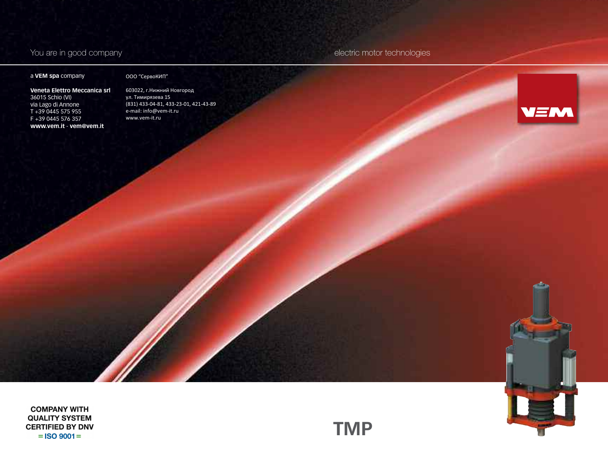# a **VEM spa** company

### ООО "СервоКИП"

**Veneta Elettro Meccanica srl** 36015 Schio (VI) via Lago di Annone T +39 0445 575 955 F +39 0445 576 357 **www.vem.it** - **vem@vem.it**

603022, г.Нижний Новгород ул. Тимирязева 15 (831) 433-04-81, 433-23-01, 421-43-89 e-mail: info@vem-it.ru www.vem-it.ru

You are in good company electric motor technologies



**COMPANY WITH QUALITY SYSTEM CERTIFIED BY DNV**  $=$  ISO 9001 $=$